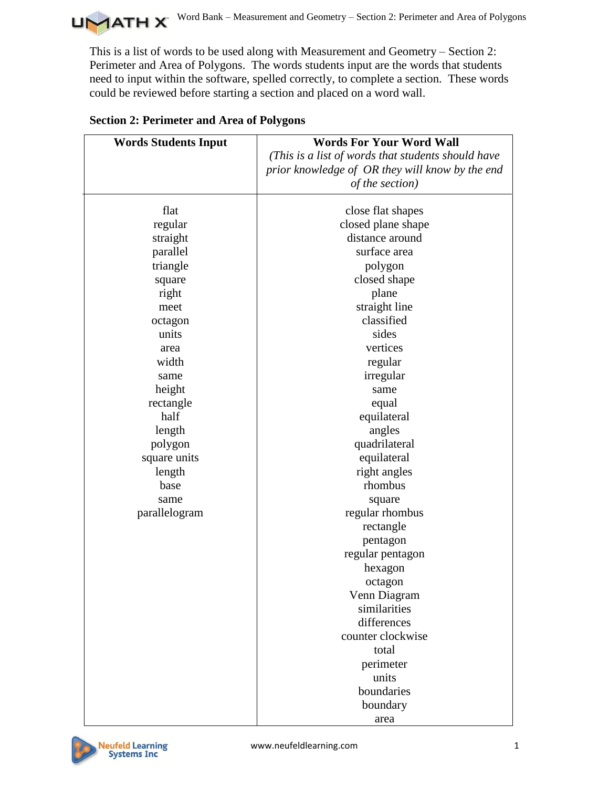

This is a list of words to be used along with Measurement and Geometry – Section 2: Perimeter and Area of Polygons. The words students input are the words that students need to input within the software, spelled correctly, to complete a section. These words could be reviewed before starting a section and placed on a word wall.

| <b>Words Students Input</b> | <b>Words For Your Word Wall</b>                    |
|-----------------------------|----------------------------------------------------|
|                             | (This is a list of words that students should have |
|                             | prior knowledge of OR they will know by the end    |
|                             | of the section)                                    |
|                             |                                                    |
| flat                        | close flat shapes                                  |
| regular                     | closed plane shape                                 |
| straight                    | distance around                                    |
| parallel                    | surface area                                       |
| triangle                    | polygon                                            |
| square                      | closed shape                                       |
| right                       | plane                                              |
| meet                        | straight line                                      |
| octagon                     | classified                                         |
| units                       | sides                                              |
| area                        | vertices                                           |
| width                       | regular                                            |
| same                        | irregular                                          |
| height                      | same                                               |
| rectangle                   | equal                                              |
| half                        | equilateral                                        |
| length                      | angles                                             |
| polygon                     | quadrilateral                                      |
| square units                | equilateral                                        |
| length                      | right angles                                       |
| base                        | rhombus                                            |
| same                        | square                                             |
| parallelogram               | regular rhombus                                    |
|                             | rectangle                                          |
|                             | pentagon                                           |
|                             | regular pentagon                                   |
|                             | hexagon                                            |
|                             | octagon                                            |
|                             | Venn Diagram                                       |
|                             | similarities                                       |
|                             | differences                                        |
|                             | counter clockwise                                  |
|                             | total                                              |
|                             | perimeter                                          |
|                             | units                                              |
|                             | boundaries                                         |
|                             | boundary                                           |
|                             | area                                               |

## **Section 2: Perimeter and Area of Polygons**